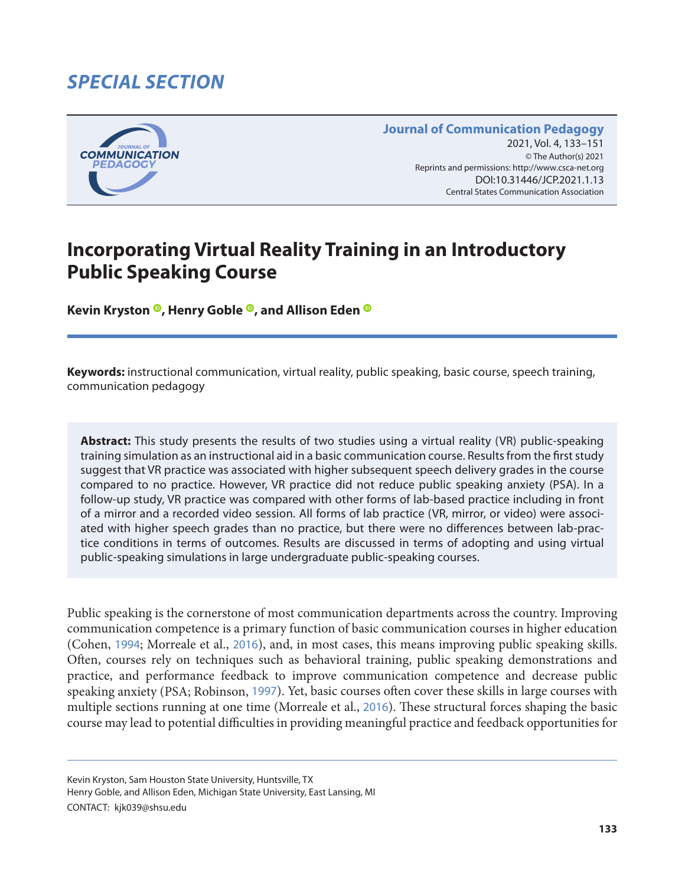# *SPECIAL SECTION*



#### **Journal of Communication Pedagogy** 2021, Vol. 4, 133-151 © The Author(s) 2021 Reprints and permissions: <http://www.csca-net.org> 2021, Vol. 4, 133–1512021Reprints and permissions:<http://www.csca-net.org> DOI:10.31446/JCP.2021.1.13 Central States Communication Association Central States Communication Association

# **Incorporating Virtual Reality Training in an Introductory Public Speaking Course**

**KevinKryston<sup>®</sup>, Henry Goble<sup>®</sup>, and Allison Eden<sup>®</sup>** 

**Keywords:** instructional communication, virtual reality, public speaking, basic course, speech training, communication pedagogy

**Abstract:** This study presents the results of two studies using a virtual reality (VR) public-speaking training simulation as an instructional aid in a basic communication course. Results from the first study suggest that VR practice was associated with higher subsequent speech delivery grades in the course compared to no practice. However, VR practice did not reduce public speaking anxiety (PSA). In a follow-up study, VR practice was compared with other forms of lab-based practice including in front of a mirror and a recorded video session. All forms of lab practice (VR, mirror, or video) were associated with higher speech grades than no practice, but there were no differences between lab-practice conditions in terms of outcomes. Results are discussed in terms of adopting and using virtual public-speaking simulations in large undergraduate public-speaking courses.

Public speaking is the cornerstone of most communication departments across the country. Improving communication competence is a primary function of basic communication courses in higher education (Cohen, [1994](#page-16-0); Morreale et al., [2016](#page-17-0)), and, in most cases, this means improving public speaking skills. Often, courses rely on techniques such as behavioral training, public speaking demonstrations and practice, and performance feedback to improve communication competence and decrease public speaking anxiety (PSA; Robinson, [1997](#page-17-0)). Yet, basic courses often cover these skills in large courses with multiple sections running at one time (Morreale et al., [2016](#page-17-0)). These structural forces shaping the basic course may lead to potential difficulties in providing meaningful practice and feedback opportunities for

Kevin Kryston, Sam Houston State University, Huntsville, TX

Henry Goble, and Allison Eden, Michigan State University, East Lansing, MI

CONTACT: kjk039@shsu.edu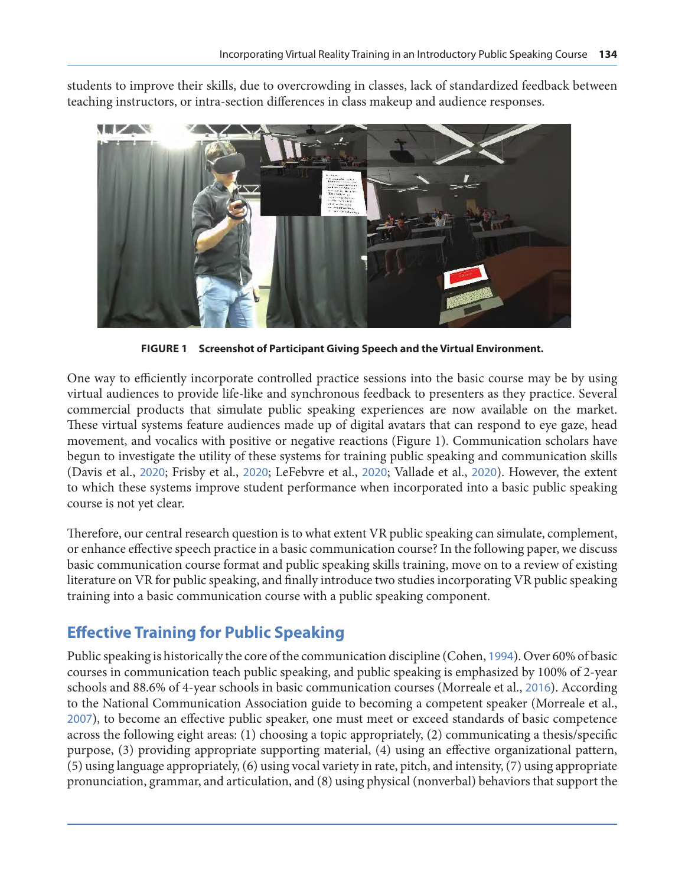students to improve their skills, due to overcrowding in classes, lack of standardized feedback between teaching instructors, or intra-section differences in class makeup and audience responses.



**FIGURE 1 Screenshot of Participant Giving Speech and the Virtual Environment.**

One way to efficiently incorporate controlled practice sessions into the basic course may be by using virtual audiences to provide life-like and synchronous feedback to presenters as they practice. Several commercial products that simulate public speaking experiences are now available on the market. These virtual systems feature audiences made up of digital avatars that can respond to eye gaze, head movement, and vocalics with positive or negative reactions (Figure 1). Communication scholars have begun to investigate the utility of these systems for training public speaking and communication skills (Davis et al., [2020](#page-16-0); Frisby et al., [2020](#page-16-0); LeFebvre et al., [2020](#page-17-0); Vallade et al., [2020](#page-18-0)). However, the extent to which these systems improve student performance when incorporated into a basic public speaking course is not yet clear.

Therefore, our central research question is to what extent VR public speaking can simulate, complement, or enhance effective speech practice in a basic communication course? In the following paper, we discuss basic communication course format and public speaking skills training, move on to a review of existing literature on VR for public speaking, and finally introduce two studies incorporating VR public speaking training into a basic communication course with a public speaking component.

### **Effective Training for Public Speaking**

Public speaking is historically the core of the communication discipline (Cohen, [1994](#page-16-0)). Over 60% of basic courses in communication teach public speaking, and public speaking is emphasized by 100% of 2-year schools and 88.6% of 4-year schools in basic communication courses (Morreale et al., [2016](#page-17-0)). According to the National Communication Association guide to becoming a competent speaker (Morreale et al., [2007](#page-17-0)), to become an effective public speaker, one must meet or exceed standards of basic competence across the following eight areas: (1) choosing a topic appropriately, (2) communicating a thesis/specific purpose, (3) providing appropriate supporting material, (4) using an effective organizational pattern, (5) using language appropriately, (6) using vocal variety in rate, pitch, and intensity, (7) using appropriate pronunciation, grammar, and articulation, and (8) using physical (nonverbal) behaviors that support the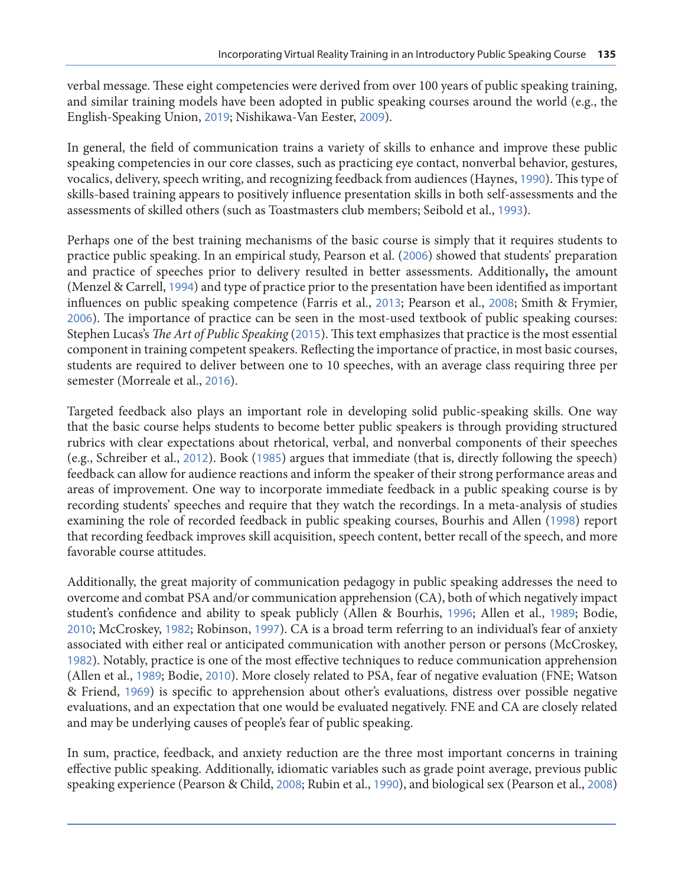verbal message. These eight competencies were derived from over 100 years of public speaking training, and similar training models have been adopted in public speaking courses around the world (e.g., the English-Speaking Union, [2019](#page-16-0); Nishikawa-Van Eester, [2009](#page-17-0)).

In general, the field of communication trains a variety of skills to enhance and improve these public speaking competencies in our core classes, such as practicing eye contact, nonverbal behavior, gestures, vocalics, delivery, speech writing, and recognizing feedback from audiences (Haynes, [1990](#page-16-0)). This type of skills-based training appears to positively influence presentation skills in both self-assessments and the assessments of skilled others (such as Toastmasters club members; Seibold et al., [1993](#page-18-0)).

Perhaps one of the best training mechanisms of the basic course is simply that it requires students to practice public speaking. In an empirical study, Pearson et al. ([2006](#page-17-0)) showed that students' preparation and practice of speeches prior to delivery resulted in better assessments. Additionally**,** the amount (Menzel & Carrell, [1994](#page-17-0)) and type of practice prior to the presentation have been identified as important influences on public speaking competence (Farris et al., [2013](#page-16-0); Pearson et al., [2008](#page-17-0); Smith & Frymier, [2006](#page-18-0)). The importance of practice can be seen in the most-used textbook of public speaking courses: Stephen Lucas's *The Art of Public Speaking* ([2015](#page-17-0)). This text emphasizes that practice is the most essential component in training competent speakers. Reflecting the importance of practice, in most basic courses, students are required to deliver between one to 10 speeches, with an average class requiring three per semester (Morreale et al., [2016](#page-17-0)).

Targeted feedback also plays an important role in developing solid public-speaking skills. One way that the basic course helps students to become better public speakers is through providing structured rubrics with clear expectations about rhetorical, verbal, and nonverbal components of their speeches (e.g., Schreiber et al., [2012](#page-18-0)). Book ([1985](#page-15-0)) argues that immediate (that is, directly following the speech) feedback can allow for audience reactions and inform the speaker of their strong performance areas and areas of improvement. One way to incorporate immediate feedback in a public speaking course is by recording students' speeches and require that they watch the recordings. In a meta-analysis of studies examining the role of recorded feedback in public speaking courses, Bourhis and Allen ([1998](#page-15-0)) report that recording feedback improves skill acquisition, speech content, better recall of the speech, and more favorable course attitudes.

Additionally, the great majority of communication pedagogy in public speaking addresses the need to overcome and combat PSA and/or communication apprehension (CA), both of which negatively impact student's confidence and ability to speak publicly (Allen & Bourhis, [1996](#page-15-0); Allen et al., [1989](#page-15-0); Bodie, [2010](#page-15-0); McCroskey, [1982](#page-17-0); Robinson, [1997](#page-17-0)). CA is a broad term referring to an individual's fear of anxiety associated with either real or anticipated communication with another person or persons (McCroskey, [1982](#page-17-0)). Notably, practice is one of the most effective techniques to reduce communication apprehension (Allen et al., [1989](#page-15-0); Bodie, [2010](#page-15-0)). More closely related to PSA, fear of negative evaluation (FNE; Watson & Friend, [1969](#page-18-0)) is specific to apprehension about other's evaluations, distress over possible negative evaluations, and an expectation that one would be evaluated negatively. FNE and CA are closely related and may be underlying causes of people's fear of public speaking.

In sum, practice, feedback, and anxiety reduction are the three most important concerns in training effective public speaking. Additionally, idiomatic variables such as grade point average, previous public speaking experience (Pearson & Child, [2008](#page-17-0); Rubin et al., [1990](#page-17-0)), and biological sex (Pearson et al., [2008](#page-17-0))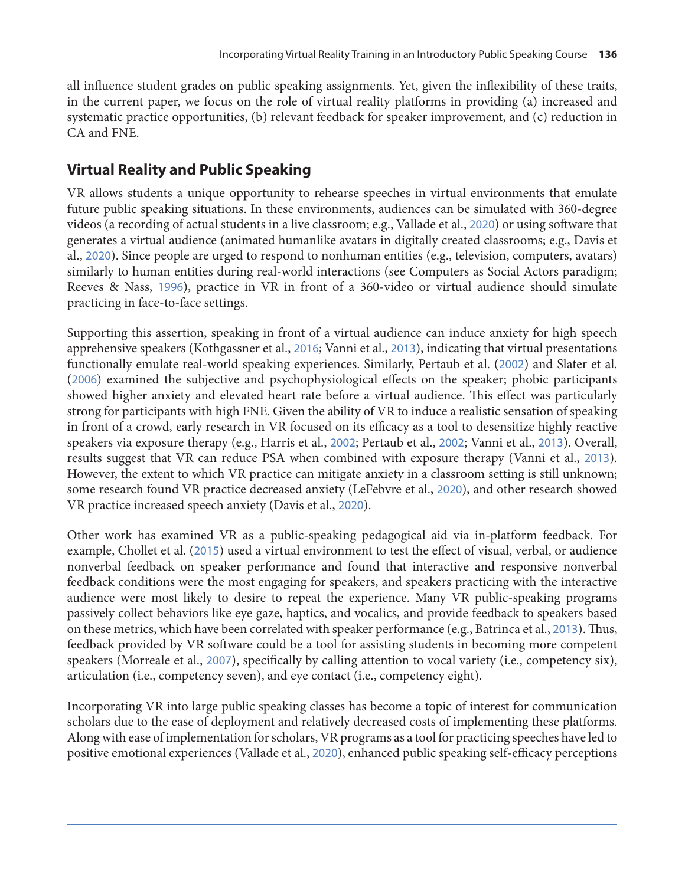all influence student grades on public speaking assignments. Yet, given the inflexibility of these traits, in the current paper, we focus on the role of virtual reality platforms in providing (a) increased and systematic practice opportunities, (b) relevant feedback for speaker improvement, and (c) reduction in CA and FNE.

### **Virtual Reality and Public Speaking**

VR allows students a unique opportunity to rehearse speeches in virtual environments that emulate future public speaking situations. In these environments, audiences can be simulated with 360-degree videos (a recording of actual students in a live classroom; e.g., Vallade et al., [2020](#page-18-0)) or using software that generates a virtual audience (animated humanlike avatars in digitally created classrooms; e.g., Davis et al., [2020](#page-16-0)). Since people are urged to respond to nonhuman entities (e.g., television, computers, avatars) similarly to human entities during real-world interactions (see Computers as Social Actors paradigm; Reeves & Nass, [1996](#page-17-0)), practice in VR in front of a 360-video or virtual audience should simulate practicing in face-to-face settings.

Supporting this assertion, speaking in front of a virtual audience can induce anxiety for high speech apprehensive speakers (Kothgassner et al., [2016](#page-16-0); Vanni et al., [2013](#page-18-0)), indicating that virtual presentations functionally emulate real-world speaking experiences. Similarly, Pertaub et al. ([2002](#page-17-0)) and Slater et al. ([2006](#page-18-0)) examined the subjective and psychophysiological effects on the speaker; phobic participants showed higher anxiety and elevated heart rate before a virtual audience. This effect was particularly strong for participants with high FNE. Given the ability of VR to induce a realistic sensation of speaking in front of a crowd, early research in VR focused on its efficacy as a tool to desensitize highly reactive speakers via exposure therapy (e.g., Harris et al., [2002](#page-16-0); Pertaub et al., [2002](#page-17-0); Vanni et al., [2013](#page-18-0)). Overall, results suggest that VR can reduce PSA when combined with exposure therapy (Vanni et al., [2013](#page-18-0)). However, the extent to which VR practice can mitigate anxiety in a classroom setting is still unknown; some research found VR practice decreased anxiety (LeFebvre et al., [2020](#page-17-0)), and other research showed VR practice increased speech anxiety (Davis et al., [2020](#page-16-0)).

Other work has examined VR as a public-speaking pedagogical aid via in-platform feedback. For example, Chollet et al. ([2015](#page-16-0)) used a virtual environment to test the effect of visual, verbal, or audience nonverbal feedback on speaker performance and found that interactive and responsive nonverbal feedback conditions were the most engaging for speakers, and speakers practicing with the interactive audience were most likely to desire to repeat the experience. Many VR public-speaking programs passively collect behaviors like eye gaze, haptics, and vocalics, and provide feedback to speakers based on these metrics, which have been correlated with speaker performance (e.g., Batrinca et al., [2013](#page-15-0)). Thus, feedback provided by VR software could be a tool for assisting students in becoming more competent speakers (Morreale et al., [2007](#page-17-0)), specifically by calling attention to vocal variety (i.e., competency six), articulation (i.e., competency seven), and eye contact (i.e., competency eight).

Incorporating VR into large public speaking classes has become a topic of interest for communication scholars due to the ease of deployment and relatively decreased costs of implementing these platforms. Along with ease of implementation for scholars, VR programs as a tool for practicing speeches have led to positive emotional experiences (Vallade et al., [2020](#page-18-0)), enhanced public speaking self-efficacy perceptions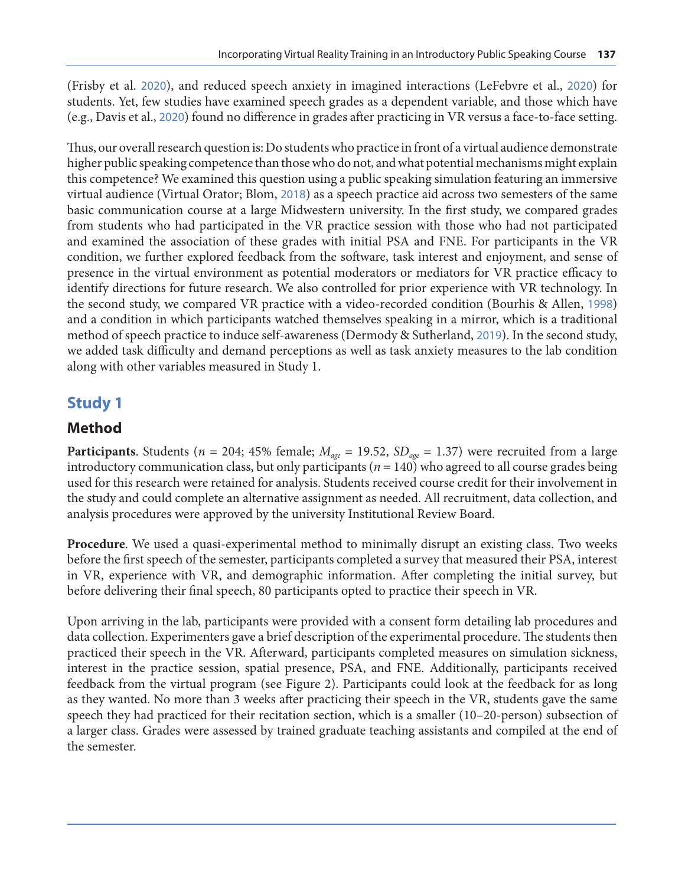(Frisby et al. [2020](#page-16-0)), and reduced speech anxiety in imagined interactions (LeFebvre et al., [2020](#page-17-0)) for students. Yet, few studies have examined speech grades as a dependent variable, and those which have (e.g., Davis et al., [2020](#page-16-0)) found no difference in grades after practicing in VR versus a face-to-face setting.

Thus, our overall research question is: Do students who practice in front of a virtual audience demonstrate higher public speaking competence than those who do not, and what potential mechanisms might explain this competence? We examined this question using a public speaking simulation featuring an immersive virtual audience (Virtual Orator; Blom, [2018](#page-15-0)) as a speech practice aid across two semesters of the same basic communication course at a large Midwestern university. In the first study, we compared grades from students who had participated in the VR practice session with those who had not participated and examined the association of these grades with initial PSA and FNE. For participants in the VR condition, we further explored feedback from the software, task interest and enjoyment, and sense of presence in the virtual environment as potential moderators or mediators for VR practice efficacy to identify directions for future research. We also controlled for prior experience with VR technology. In the second study, we compared VR practice with a video-recorded condition (Bourhis & Allen, [1998](#page-15-0)) and a condition in which participants watched themselves speaking in a mirror, which is a traditional method of speech practice to induce self-awareness (Dermody & Sutherland, [2019](#page-16-0)). In the second study, we added task difficulty and demand perceptions as well as task anxiety measures to the lab condition along with other variables measured in Study 1.

### **Study 1**

#### **Method**

**Participants**. Students ( $n = 204$ ; 45% female;  $M_{age} = 19.52$ ,  $SD_{age} = 1.37$ ) were recruited from a large introductory communication class, but only participants ( $n = 140$ ) who agreed to all course grades being used for this research were retained for analysis. Students received course credit for their involvement in the study and could complete an alternative assignment as needed. All recruitment, data collection, and analysis procedures were approved by the university Institutional Review Board.

**Procedure**. We used a quasi-experimental method to minimally disrupt an existing class. Two weeks before the first speech of the semester, participants completed a survey that measured their PSA, interest in VR, experience with VR, and demographic information. After completing the initial survey, but before delivering their final speech, 80 participants opted to practice their speech in VR.

Upon arriving in the lab, participants were provided with a consent form detailing lab procedures and data collection. Experimenters gave a brief description of the experimental procedure. The students then practiced their speech in the VR. Afterward, participants completed measures on simulation sickness, interest in the practice session, spatial presence, PSA, and FNE. Additionally, participants received feedback from the virtual program (see Figure 2). Participants could look at the feedback for as long as they wanted. No more than 3 weeks after practicing their speech in the VR, students gave the same speech they had practiced for their recitation section, which is a smaller (10–20-person) subsection of a larger class. Grades were assessed by trained graduate teaching assistants and compiled at the end of the semester.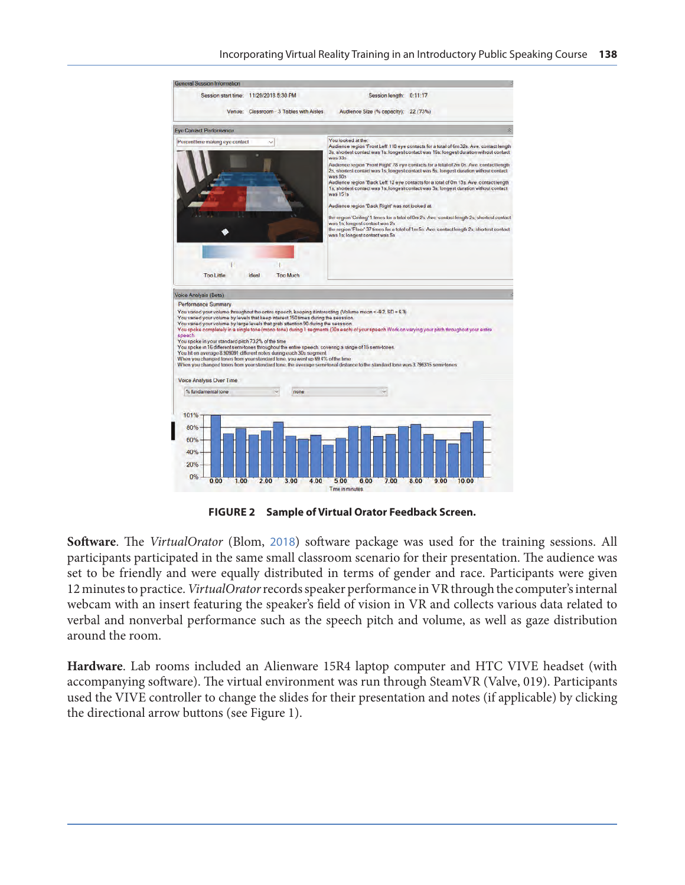

**FIGURE 2 Sample of Virtual Orator Feedback Screen.**

**Software**. The *VirtualOrator* (Blom, [2018](#page-15-0)) software package was used for the training sessions. All participants participated in the same small classroom scenario for their presentation. The audience was set to be friendly and were equally distributed in terms of gender and race. Participants were given 12 minutes to practice. *VirtualOrator* records speaker performance in VR through the computer's internal webcam with an insert featuring the speaker's field of vision in VR and collects various data related to verbal and nonverbal performance such as the speech pitch and volume, as well as gaze distribution around the room.

**Hardware**. Lab rooms included an Alienware 15R4 laptop computer and HTC VIVE headset (with accompanying software). The virtual environment was run through SteamVR (Valve, 019). Participants used the VIVE controller to change the slides for their presentation and notes (if applicable) by clicking the directional arrow buttons (see Figure 1).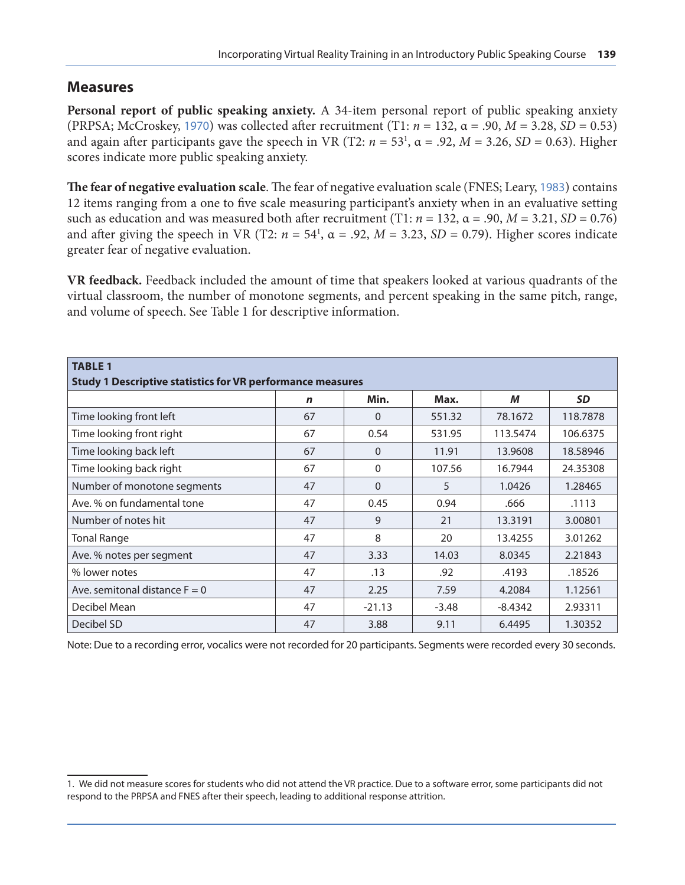#### **Measures**

**Personal report of public speaking anxiety.** A 34-item personal report of public speaking anxiety (PRPSA; McCroskey, [1970](#page-17-0)) was collected after recruitment (T1: *n* = 132, α = .90, *M* = 3.28, *SD* = 0.53) and again after participants gave the speech in VR (T2:  $n = 53^1$ ,  $\alpha = .92$ ,  $M = 3.26$ ,  $SD = 0.63$ ). Higher scores indicate more public speaking anxiety.

**The fear of negative evaluation scale**. The fear of negative evaluation scale (FNES; Leary, [1983](#page-16-0)) contains 12 items ranging from a one to five scale measuring participant's anxiety when in an evaluative setting such as education and was measured both after recruitment (T1:  $n = 132$ ,  $\alpha = .90$ ,  $M = 3.21$ ,  $SD = 0.76$ ) and after giving the speech in VR (T2:  $n = 54^1$ ,  $\alpha = .92$ ,  $M = 3.23$ ,  $SD = 0.79$ ). Higher scores indicate greater fear of negative evaluation.

**VR feedback.** Feedback included the amount of time that speakers looked at various quadrants of the virtual classroom, the number of monotone segments, and percent speaking in the same pitch, range, and volume of speech. See Table 1 for descriptive information.

| <b>TABLE 1</b>                                                    |    |              |         |           |           |  |  |  |  |  |  |  |
|-------------------------------------------------------------------|----|--------------|---------|-----------|-----------|--|--|--|--|--|--|--|
| <b>Study 1 Descriptive statistics for VR performance measures</b> |    |              |         |           |           |  |  |  |  |  |  |  |
|                                                                   | n  | Min.         | Max.    | М         | <b>SD</b> |  |  |  |  |  |  |  |
| Time looking front left                                           | 67 | $\Omega$     | 551.32  | 78.1672   | 118.7878  |  |  |  |  |  |  |  |
| Time looking front right                                          | 67 | 0.54         | 531.95  | 113.5474  | 106.6375  |  |  |  |  |  |  |  |
| Time looking back left                                            | 67 | $\Omega$     | 11.91   | 13.9608   | 18.58946  |  |  |  |  |  |  |  |
| Time looking back right                                           | 67 | $\mathbf{0}$ | 107.56  | 16.7944   | 24.35308  |  |  |  |  |  |  |  |
| Number of monotone segments                                       | 47 | $\Omega$     | 5       | 1.0426    | 1.28465   |  |  |  |  |  |  |  |
| Ave. % on fundamental tone                                        | 47 | 0.45         | 0.94    | .666      | .1113     |  |  |  |  |  |  |  |
| Number of notes hit                                               | 47 | 9            | 21      | 13.3191   | 3.00801   |  |  |  |  |  |  |  |
| <b>Tonal Range</b>                                                | 47 | 8            | 20      | 13.4255   | 3.01262   |  |  |  |  |  |  |  |
| Ave. % notes per segment                                          | 47 | 3.33         | 14.03   | 8.0345    | 2.21843   |  |  |  |  |  |  |  |
| % lower notes                                                     | 47 | .13          | .92     | .4193     | .18526    |  |  |  |  |  |  |  |
| Ave. semitonal distance $F = 0$                                   | 47 | 2.25         | 7.59    | 4.2084    | 1.12561   |  |  |  |  |  |  |  |
| Decibel Mean                                                      | 47 | $-21.13$     | $-3.48$ | $-8.4342$ | 2.93311   |  |  |  |  |  |  |  |
| Decibel SD                                                        | 47 | 3.88         | 9.11    | 6.4495    | 1.30352   |  |  |  |  |  |  |  |

Note: Due to a recording error, vocalics were not recorded for 20 participants. Segments were recorded every 30 seconds.

<sup>1.</sup> We did not measure scores for students who did not attend the VR practice. Due to a software error, some participants did not respond to the PRPSA and FNES after their speech, leading to additional response attrition.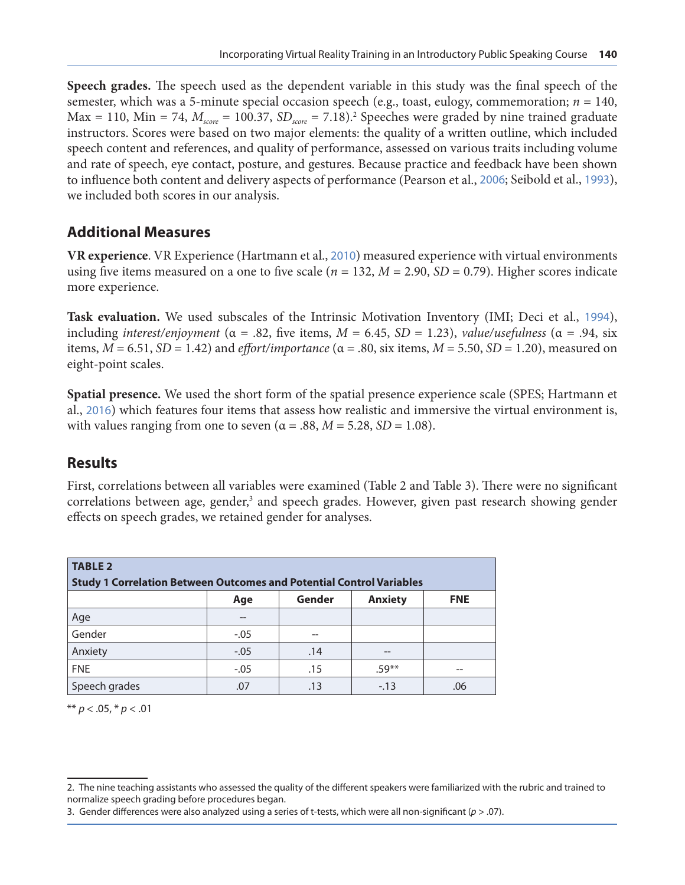**Speech grades.** The speech used as the dependent variable in this study was the final speech of the semester, which was a 5-minute special occasion speech (e.g., toast, eulogy, commemoration;  $n = 140$ ,  $Max = 110$ ,  $Min = 74$ ,  $M_{score} = 100.37$ ,  $SD_{score} = 7.18$ ).<sup>2</sup> Speeches were graded by nine trained graduate instructors. Scores were based on two major elements: the quality of a written outline, which included speech content and references, and quality of performance, assessed on various traits including volume and rate of speech, eye contact, posture, and gestures. Because practice and feedback have been shown to influence both content and delivery aspects of performance (Pearson et al., [2006](#page-17-0); Seibold et al., [1993](#page-18-0)), we included both scores in our analysis.

#### **Additional Measures**

**VR experience**. VR Experience (Hartmann et al., [2010](#page-16-0)) measured experience with virtual environments using five items measured on a one to five scale (*n* = 132, *M* = 2.90, *SD* = 0.79). Higher scores indicate more experience.

**Task evaluation.** We used subscales of the Intrinsic Motivation Inventory (IMI; Deci et al., [1994](#page-16-0)), including *interest/enjoyment* ( $\alpha$  = .82, five items,  $M$  = 6.45,  $SD$  = 1.23), *value/usefulness* ( $\alpha$  = .94, six items,  $M = 6.51$ ,  $SD = 1.42$ ) and *effort/importance* ( $\alpha = .80$ , six items,  $M = 5.50$ ,  $SD = 1.20$ ), measured on eight-point scales.

**Spatial presence.** We used the short form of the spatial presence experience scale (SPES; Hartmann et al., [2016](#page-16-0)) which features four items that assess how realistic and immersive the virtual environment is, with values ranging from one to seven ( $\alpha$  = .88,  $M$  = 5.28, *SD* = 1.08).

#### **Results**

First, correlations between all variables were examined (Table 2 and Table 3). There were no significant correlations between age, gender,<sup>3</sup> and speech grades. However, given past research showing gender effects on speech grades, we retained gender for analyses.

| <b>TABLE 2</b>                                                              |                                               |     |         |     |  |  |  |  |  |  |  |
|-----------------------------------------------------------------------------|-----------------------------------------------|-----|---------|-----|--|--|--|--|--|--|--|
| <b>Study 1 Correlation Between Outcomes and Potential Control Variables</b> |                                               |     |         |     |  |  |  |  |  |  |  |
|                                                                             | Gender<br><b>Anxiety</b><br><b>FNE</b><br>Age |     |         |     |  |  |  |  |  |  |  |
| Age                                                                         | $- -$                                         |     |         |     |  |  |  |  |  |  |  |
| Gender                                                                      | $-.05$                                        | --  |         |     |  |  |  |  |  |  |  |
| Anxiety                                                                     | $-.05$                                        | .14 | $- -$   |     |  |  |  |  |  |  |  |
| <b>FNE</b>                                                                  | $-.05$                                        | .15 | $.59**$ | --  |  |  |  |  |  |  |  |
| Speech grades                                                               | .07                                           | .13 | $-.13$  | .06 |  |  |  |  |  |  |  |

\*\* *p* < .05, \* *p* < .01

<sup>2.</sup> The nine teaching assistants who assessed the quality of the different speakers were familiarized with the rubric and trained to normalize speech grading before procedures began.

<sup>3.</sup> Gender differences were also analyzed using a series of t-tests, which were all non-significant (*p* > .07).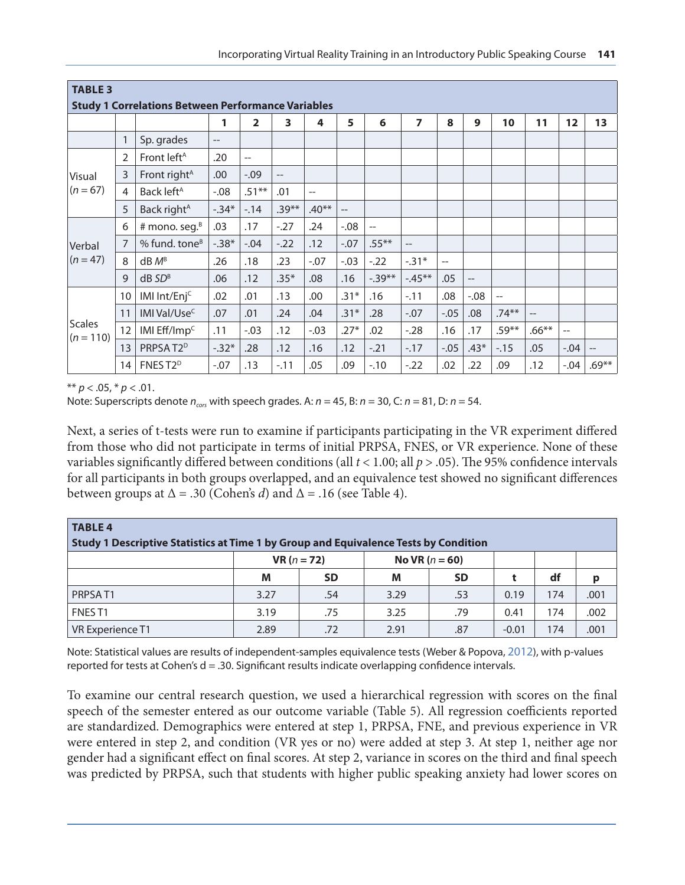| <b>TABLE 3</b>                                            |                |                           |         |                |          |                          |                   |                |                |                   |         |         |                          |                          |                          |
|-----------------------------------------------------------|----------------|---------------------------|---------|----------------|----------|--------------------------|-------------------|----------------|----------------|-------------------|---------|---------|--------------------------|--------------------------|--------------------------|
| <b>Study 1 Correlations Between Performance Variables</b> |                |                           |         |                |          |                          |                   |                |                |                   |         |         |                          |                          |                          |
|                                                           |                |                           | 1       | $\overline{2}$ | 3        | 4                        | 5                 | 6              | $\overline{z}$ | 8                 | 9       | 10      | 11                       | 12                       | 13                       |
|                                                           | $\mathbf{1}$   | Sp. grades                | --      |                |          |                          |                   |                |                |                   |         |         |                          |                          |                          |
|                                                           | 2              | Front left <sup>A</sup>   | .20     | $-$            |          |                          |                   |                |                |                   |         |         |                          |                          |                          |
| Visual                                                    | 3              | Front right <sup>A</sup>  | .00     | $-.09$         | $-$      |                          |                   |                |                |                   |         |         |                          |                          |                          |
| $(n = 67)$                                                | $\overline{4}$ | Back left <sup>A</sup>    | $-.08$  | $.51**$        | .01      | $\overline{\phantom{a}}$ |                   |                |                |                   |         |         |                          |                          |                          |
|                                                           | 5              | Back right <sup>A</sup>   | $-.34*$ | $-14$          | $.39***$ | $.40**$                  | $\qquad \qquad -$ |                |                |                   |         |         |                          |                          |                          |
|                                                           | 6              | # mono. seg. $B$          | .03     | .17            | $-27$    | .24                      | $-0.08$           | $\overline{a}$ |                |                   |         |         |                          |                          |                          |
| Verbal                                                    | 7              | % fund. tone <sup>B</sup> | $-.38*$ | $-.04$         | $-.22$   | .12                      | $-.07$            | $.55***$       | $\overline{a}$ |                   |         |         |                          |                          |                          |
| $(n = 47)$                                                | 8              | $dB$ $M^B$                | .26     | .18            | .23      | $-.07$                   | $-.03$            | $-.22$         | $-.31*$        | $\qquad \qquad -$ |         |         |                          |                          |                          |
|                                                           | 9              | $dB$ $SD^B$               | .06     | .12            | $.35*$   | .08                      | .16               | $-0.39**$      | $-45**$        | .05               | $-$     |         |                          |                          |                          |
|                                                           | 10             | IMI Int/Enj <sup>c</sup>  | .02     | .01            | .13      | .00                      | $.31*$            | .16            | $-.11$         | .08               | $-0.08$ | --      |                          |                          |                          |
|                                                           | 11             | IMI Val/Use <sup>c</sup>  | .07     | .01            | .24      | .04                      | $.31*$            | .28            | $-.07$         | $-.05$            | .08     | $.74**$ | $\overline{\phantom{a}}$ |                          |                          |
| <b>Scales</b><br>$(n = 110)$                              | 12             | IMI $Eff/mmC$             | .11     | $-.03$         | .12      | $-.03$                   | $.27*$            | .02            | $-28$          | .16               | .17     | $.59**$ | $.66**$                  | $\overline{\phantom{m}}$ |                          |
|                                                           | 13             | PRPSAT2 <sup>D</sup>      | $-.32*$ | .28            | .12      | .16                      | .12               | $-.21$         | $-.17$         | $-.05$            | $.43*$  | $-15$   | .05                      | $-.04$                   | $\overline{\phantom{m}}$ |
|                                                           | 14             | FNES T2 <sup>D</sup>      | $-.07$  | .13            | $-.11$   | .05                      | .09               | $-.10$         | $-.22$         | .02               | .22     | .09     | .12                      | $-.04$                   | $.69**$                  |

\*\*  $p < .05$ , \*  $p < .01$ .

Note: Superscripts denote  $n_{\text{cor}}$  with speech grades. A:  $n = 45$ , B:  $n = 30$ , C:  $n = 81$ , D:  $n = 54$ .

Next, a series of t-tests were run to examine if participants participating in the VR experiment differed from those who did not participate in terms of initial PRPSA, FNES, or VR experience. None of these variables significantly differed between conditions (all *t* < 1.00; all *p* > .05). The 95% confidence intervals for all participants in both groups overlapped, and an equivalence test showed no significant differences between groups at  $\Delta = .30$  (Cohen's *d*) and  $\Delta = .16$  (see Table 4).

| <b>TABLE 4</b>                                                                       |                      |           |                  |           |         |     |      |  |  |  |  |
|--------------------------------------------------------------------------------------|----------------------|-----------|------------------|-----------|---------|-----|------|--|--|--|--|
| Study 1 Descriptive Statistics at Time 1 by Group and Equivalence Tests by Condition |                      |           |                  |           |         |     |      |  |  |  |  |
|                                                                                      | <b>VR</b> $(n = 72)$ |           | No VR $(n = 60)$ |           |         |     |      |  |  |  |  |
|                                                                                      | M                    | <b>SD</b> | M                | <b>SD</b> |         | df  | p    |  |  |  |  |
| PRPSAT <sub>1</sub>                                                                  | 3.27                 | .54       | 3.29             | .53       | 0.19    | 174 | .001 |  |  |  |  |
| FNES <sub>T1</sub>                                                                   | 3.19                 | .75       | 3.25             | .79       | 0.41    | 174 | .002 |  |  |  |  |
| VR Experience T1                                                                     | 2.89                 | .72       | 2.91             | .87       | $-0.01$ | 174 | .001 |  |  |  |  |

Note: Statistical values are results of independent-samples equivalence tests (Weber & Popova, [2012\)](#page-18-0), with p-values reported for tests at Cohen's d = .30. Significant results indicate overlapping confidence intervals.

To examine our central research question, we used a hierarchical regression with scores on the final speech of the semester entered as our outcome variable (Table 5). All regression coefficients reported are standardized. Demographics were entered at step 1, PRPSA, FNE, and previous experience in VR were entered in step 2, and condition (VR yes or no) were added at step 3. At step 1, neither age nor gender had a significant effect on final scores. At step 2, variance in scores on the third and final speech was predicted by PRPSA, such that students with higher public speaking anxiety had lower scores on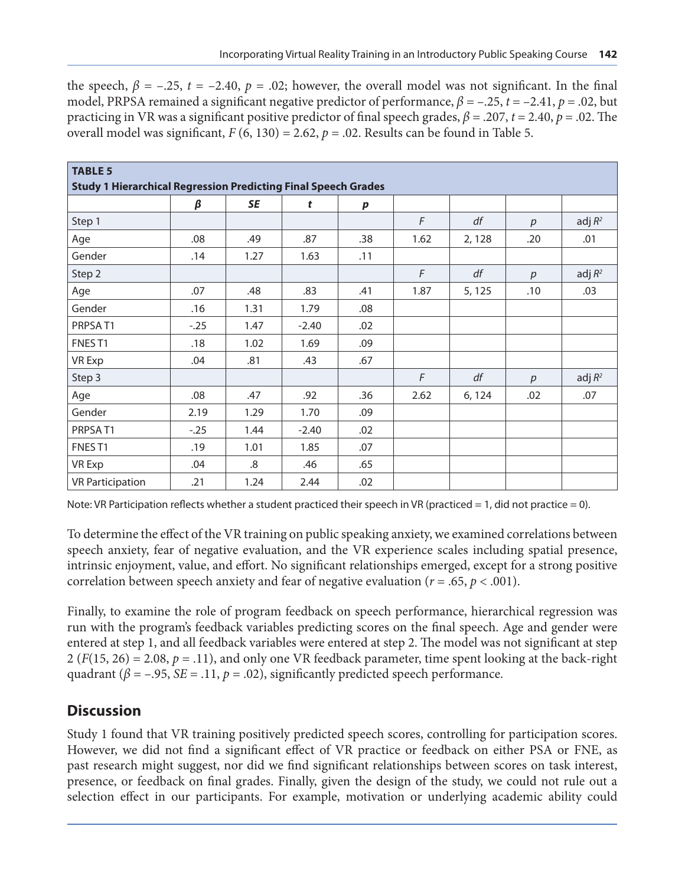the speech,  $\beta$  = –.25, *t* = –2.40,  $p$  = .02; however, the overall model was not significant. In the final model, PRPSA remained a significant negative predictor of performance, *β =* –.25, *t* = –2.41, *p* = .02, but practicing in VR was a significant positive predictor of final speech grades, *β =* .207, *t* = 2.40, *p* = .02. The overall model was significant,  $F(6, 130) = 2.62$ ,  $p = .02$ . Results can be found in Table 5.

| <b>TABLE 5</b>                                                        |        |      |         |           |      |        |                  |           |  |  |  |  |
|-----------------------------------------------------------------------|--------|------|---------|-----------|------|--------|------------------|-----------|--|--|--|--|
| <b>Study 1 Hierarchical Regression Predicting Final Speech Grades</b> |        |      |         |           |      |        |                  |           |  |  |  |  |
|                                                                       | β      | SE   | t       | $\pmb{p}$ |      |        |                  |           |  |  |  |  |
| Step 1                                                                |        |      |         |           | F    | df     | p                | adj $R^2$ |  |  |  |  |
| Age                                                                   | .08    | .49  | .87     | .38       | 1.62 | 2,128  | .20              | .01       |  |  |  |  |
| Gender                                                                | .14    | 1.27 | 1.63    | .11       |      |        |                  |           |  |  |  |  |
| Step 2                                                                |        |      |         |           | F    | df     | $\boldsymbol{p}$ | adj $R^2$ |  |  |  |  |
| Age                                                                   | .07    | .48  | .83     | .41       | 1.87 | 5, 125 | .10              | .03       |  |  |  |  |
| Gender                                                                | .16    | 1.31 | 1.79    | .08       |      |        |                  |           |  |  |  |  |
| PRPSAT1                                                               | $-.25$ | 1.47 | $-2.40$ | .02       |      |        |                  |           |  |  |  |  |
| FNES <sub>T1</sub>                                                    | .18    | 1.02 | 1.69    | .09       |      |        |                  |           |  |  |  |  |
| <b>VR Exp</b>                                                         | .04    | .81  | .43     | .67       |      |        |                  |           |  |  |  |  |
| Step 3                                                                |        |      |         |           | F    | df     | p                | adj $R^2$ |  |  |  |  |
| Age                                                                   | .08    | .47  | .92     | .36       | 2.62 | 6, 124 | .02              | .07       |  |  |  |  |
| Gender                                                                | 2.19   | 1.29 | 1.70    | .09       |      |        |                  |           |  |  |  |  |
| PRPSAT1                                                               | $-.25$ | 1.44 | $-2.40$ | .02       |      |        |                  |           |  |  |  |  |
| FNEST1                                                                | .19    | 1.01 | 1.85    | .07       |      |        |                  |           |  |  |  |  |
| <b>VR Exp</b>                                                         | .04    | .8   | .46     | .65       |      |        |                  |           |  |  |  |  |
| <b>VR Participation</b>                                               | .21    | 1.24 | 2.44    | .02       |      |        |                  |           |  |  |  |  |

Note: VR Participation reflects whether a student practiced their speech in VR (practiced = 1, did not practice = 0).

To determine the effect of the VR training on public speaking anxiety, we examined correlations between speech anxiety, fear of negative evaluation, and the VR experience scales including spatial presence, intrinsic enjoyment, value, and effort. No significant relationships emerged, except for a strong positive correlation between speech anxiety and fear of negative evaluation ( $r = .65$ ,  $p < .001$ ).

Finally, to examine the role of program feedback on speech performance, hierarchical regression was run with the program's feedback variables predicting scores on the final speech. Age and gender were entered at step 1, and all feedback variables were entered at step 2. The model was not significant at step 2 ( $F(15, 26) = 2.08$ ,  $p = .11$ ), and only one VR feedback parameter, time spent looking at the back-right quadrant  $(\beta = -.95, SE = .11, p = .02)$ , significantly predicted speech performance.

### **Discussion**

Study 1 found that VR training positively predicted speech scores, controlling for participation scores. However, we did not find a significant effect of VR practice or feedback on either PSA or FNE, as past research might suggest, nor did we find significant relationships between scores on task interest, presence, or feedback on final grades. Finally, given the design of the study, we could not rule out a selection effect in our participants. For example, motivation or underlying academic ability could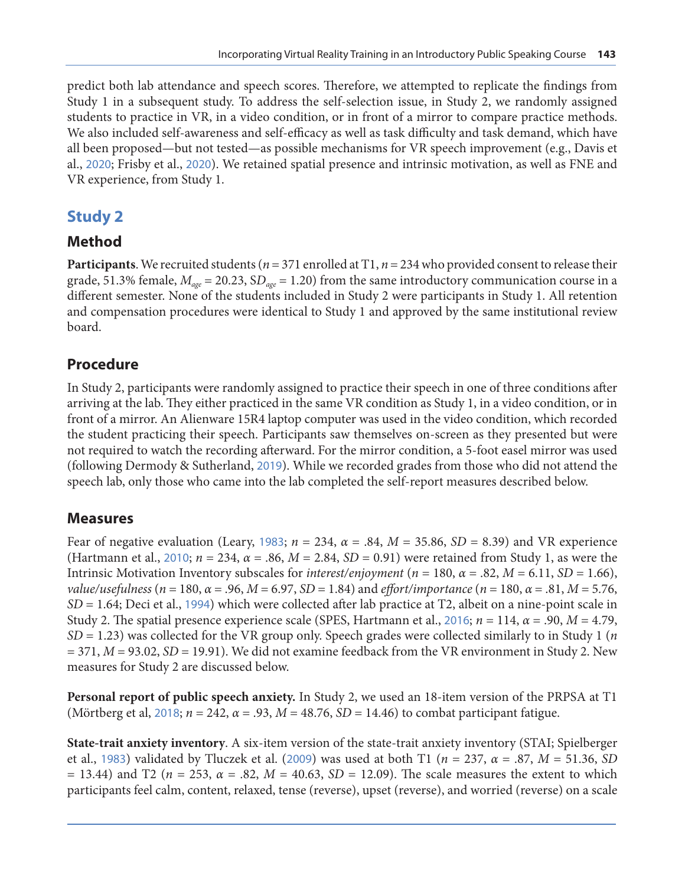predict both lab attendance and speech scores. Therefore, we attempted to replicate the findings from Study 1 in a subsequent study. To address the self-selection issue, in Study 2, we randomly assigned students to practice in VR, in a video condition, or in front of a mirror to compare practice methods. We also included self-awareness and self-efficacy as well as task difficulty and task demand, which have all been proposed—but not tested—as possible mechanisms for VR speech improvement (e.g., Davis et al., [2020](#page-16-0); Frisby et al., [2020](#page-16-0)). We retained spatial presence and intrinsic motivation, as well as FNE and VR experience, from Study 1.

### **Study 2**

### **Method**

**Participants**. We recruited students ( $n = 371$  enrolled at T1,  $n = 234$  who provided consent to release their grade, 51.3% female, *Mage* = 20.23, S*Dage* = 1.20) from the same introductory communication course in a different semester. None of the students included in Study 2 were participants in Study 1. All retention and compensation procedures were identical to Study 1 and approved by the same institutional review board.

### **Procedure**

In Study 2, participants were randomly assigned to practice their speech in one of three conditions after arriving at the lab. They either practiced in the same VR condition as Study 1, in a video condition, or in front of a mirror. An Alienware 15R4 laptop computer was used in the video condition, which recorded the student practicing their speech. Participants saw themselves on-screen as they presented but were not required to watch the recording afterward. For the mirror condition, a 5-foot easel mirror was used (following Dermody & Sutherland, [2019](#page-16-0)). While we recorded grades from those who did not attend the speech lab, only those who came into the lab completed the self-report measures described below.

### **Measures**

Fear of negative evaluation (Leary, [1983](#page-16-0);  $n = 234$ ,  $\alpha = .84$ ,  $M = 35.86$ ,  $SD = 8.39$ ) and VR experience (Hartmann et al., [2010](#page-16-0); *n* = 234, *α* = .86, *M* = 2.84, *SD* = 0.91) were retained from Study 1, as were the Intrinsic Motivation Inventory subscales for *interest/enjoyment* ( $n = 180$ ,  $\alpha = .82$ ,  $M = 6.11$ ,  $SD = 1.66$ ), *value/usefulness* (*n* = 180, *α* = .96, *M* = 6.97, *SD* = 1.84) and *effort/importance* (*n* = 180, *α* = .81, *M* = 5.76, *SD* = 1.64; Deci et al., [1994](#page-16-0)) which were collected after lab practice at T2, albeit on a nine-point scale in Study 2. The spatial presence experience scale (SPES, Hartmann et al., [2016](#page-16-0); *n* = 114, *α* = .90, *M* = 4.79, *SD* = 1.23) was collected for the VR group only. Speech grades were collected similarly to in Study 1 (*n*  $= 371, M = 93.02, SD = 19.91$ . We did not examine feedback from the VR environment in Study 2. New measures for Study 2 are discussed below.

**Personal report of public speech anxiety.** In Study 2, we used an 18-item version of the PRPSA at T1 (Mörtberg et al, [2018](#page-17-0); *n* = 242, *α* = .93, *M* = 48.76, *SD* = 14.46) to combat participant fatigue.

**State-trait anxiety inventory**. A six-item version of the state-trait anxiety inventory (STAI; Spielberger et al., [1983](#page-18-0)) validated by Tluczek et al. ([2009](#page-18-0)) was used at both T1 (*n* = 237, *α* = .87, *M* = 51.36, *SD* = 13.44) and T2 (*n* = 253, *α* = .82, *M* = 40.63, *SD* = 12.09). The scale measures the extent to which participants feel calm, content, relaxed, tense (reverse), upset (reverse), and worried (reverse) on a scale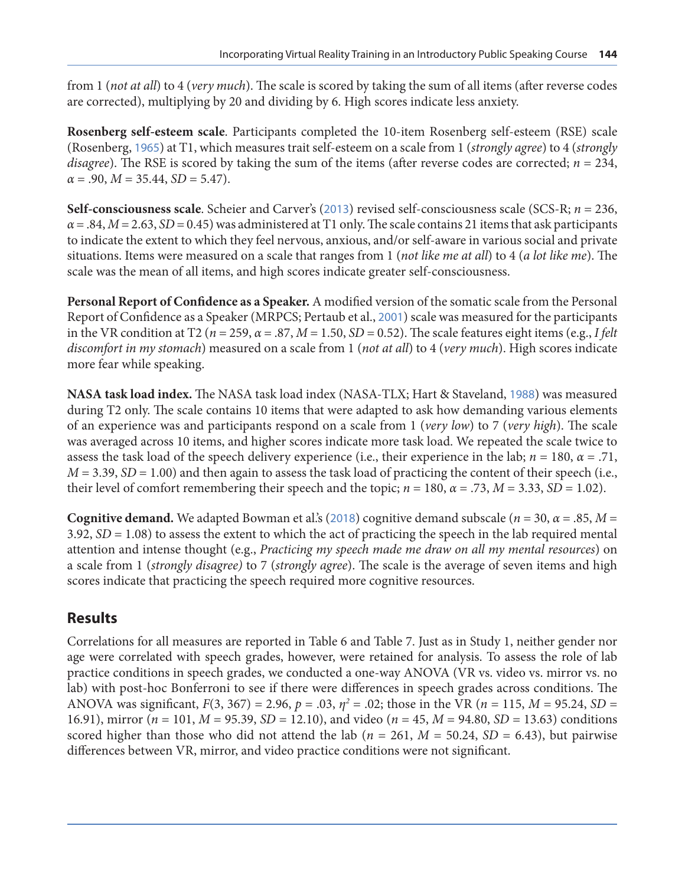from 1 (*not at all*) to 4 (*very much*). The scale is scored by taking the sum of all items (after reverse codes are corrected), multiplying by 20 and dividing by 6. High scores indicate less anxiety.

**Rosenberg self-esteem scale**. Participants completed the 10-item Rosenberg self-esteem (RSE) scale (Rosenberg, [1965](#page-17-0)) at T1, which measures trait self-esteem on a scale from 1 (*strongly agree*) to 4 (*strongly disagree*). The RSE is scored by taking the sum of the items (after reverse codes are corrected; *n* = 234,  $\alpha$  = .90, *M* = 35.44, *SD* = 5.47).

**Self-consciousness scale**. Scheier and Carver's ([2013](#page-18-0)) revised self-consciousness scale (SCS-R; *n* = 236,  $\alpha$  = .84,  $M$  = 2.63, *SD* = 0.45) was administered at T1 only. The scale contains 21 items that ask participants to indicate the extent to which they feel nervous, anxious, and/or self-aware in various social and private situations. Items were measured on a scale that ranges from 1 (*not like me at all*) to 4 (*a lot like me*). The scale was the mean of all items, and high scores indicate greater self-consciousness.

**Personal Report of Confidence as a Speaker.** A modified version of the somatic scale from the Personal Report of Confidence as a Speaker (MRPCS; Pertaub et al., [2001](#page-17-0)) scale was measured for the participants in the VR condition at T2 ( $n = 259$ ,  $\alpha = .87$ ,  $M = 1.50$ ,  $SD = 0.52$ ). The scale features eight items (e.g., *I felt discomfort in my stomach*) measured on a scale from 1 (*not at all*) to 4 (*very much*). High scores indicate more fear while speaking.

**NASA task load index.** The NASA task load index (NASA-TLX; Hart & Staveland, [1988](#page-16-0)) was measured during T2 only. The scale contains 10 items that were adapted to ask how demanding various elements of an experience was and participants respond on a scale from 1 (*very low*) to 7 (*very high*). The scale was averaged across 10 items, and higher scores indicate more task load. We repeated the scale twice to assess the task load of the speech delivery experience (i.e., their experience in the lab;  $n = 180$ ,  $\alpha = .71$ , *M* = 3.39, *SD* = 1.00) and then again to assess the task load of practicing the content of their speech (i.e., their level of comfort remembering their speech and the topic;  $n = 180$ ,  $\alpha = .73$ ,  $M = 3.33$ ,  $SD = 1.02$ ).

**Cognitive demand.** We adapted Bowman et al.'s ([2018](#page-16-0)) cognitive demand subscale (*n* = 30, *α* = .85, *M* = 3.92, *SD* = 1.08) to assess the extent to which the act of practicing the speech in the lab required mental attention and intense thought (e.g., *Practicing my speech made me draw on all my mental resources*) on a scale from 1 (*strongly disagree)* to 7 (*strongly agree*). The scale is the average of seven items and high scores indicate that practicing the speech required more cognitive resources.

### **Results**

Correlations for all measures are reported in Table 6 and Table 7. Just as in Study 1, neither gender nor age were correlated with speech grades, however, were retained for analysis. To assess the role of lab practice conditions in speech grades, we conducted a one-way ANOVA (VR vs. video vs. mirror vs. no lab) with post-hoc Bonferroni to see if there were differences in speech grades across conditions. The ANOVA was significant,  $F(3, 367) = 2.96$ ,  $p = .03$ ,  $\eta^2 = .02$ ; those in the VR ( $n = 115$ ,  $M = 95.24$ ,  $SD =$ 16.91), mirror (*n* = 101, *M* = 95.39, *SD* = 12.10), and video (*n* = 45, *M* = 94.80, *SD* = 13.63) conditions scored higher than those who did not attend the lab ( $n = 261$ ,  $M = 50.24$ ,  $SD = 6.43$ ), but pairwise differences between VR, mirror, and video practice conditions were not significant.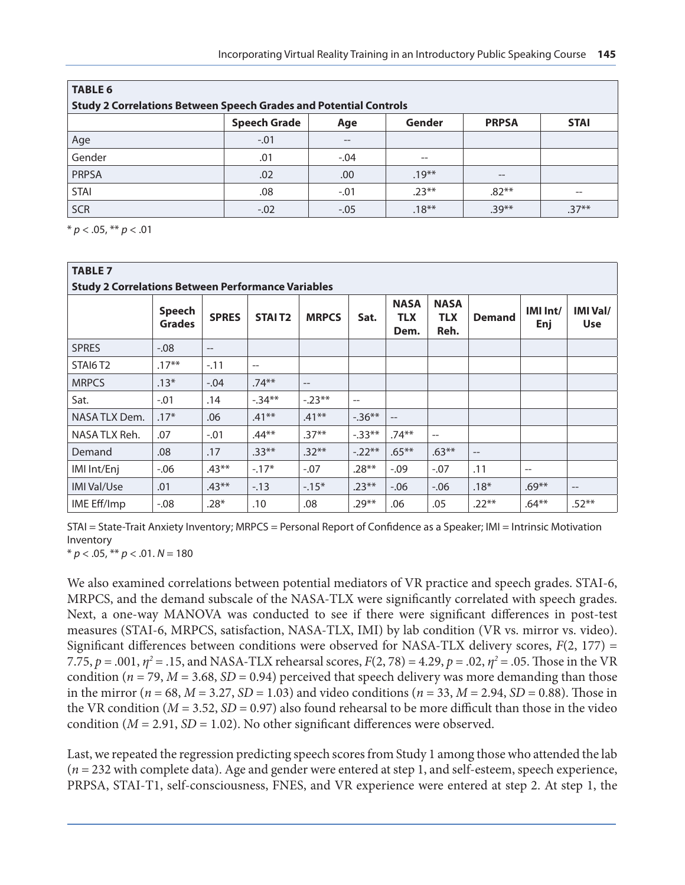| <b>TABLE 6</b>                                                           |                     |           |          |              |             |  |  |  |  |  |
|--------------------------------------------------------------------------|---------------------|-----------|----------|--------------|-------------|--|--|--|--|--|
| <b>Study 2 Correlations Between Speech Grades and Potential Controls</b> |                     |           |          |              |             |  |  |  |  |  |
|                                                                          | <b>Speech Grade</b> | Age       | Gender   | <b>PRPSA</b> | <b>STAI</b> |  |  |  |  |  |
| Age                                                                      | $-.01$              | $-\!$ $-$ |          |              |             |  |  |  |  |  |
| Gender                                                                   | .01                 | $-.04$    | --       |              |             |  |  |  |  |  |
| <b>PRPSA</b>                                                             | .02                 | .00       | $.19***$ | --           |             |  |  |  |  |  |
| <b>STAI</b>                                                              | .08                 | $-.01$    | $.23***$ | $.82**$      | --          |  |  |  |  |  |
| <b>SCR</b>                                                               | $-.02$              | $-.05$    | $.18***$ | $.39**$      | $.37**$     |  |  |  |  |  |

\* *p* < .05, \*\* *p* < .01

| <b>TABLE 7</b><br><b>Study 2 Correlations Between Performance Variables</b> |                                |              |                    |              |           |                                   |                                   |                                                     |                 |                               |  |  |
|-----------------------------------------------------------------------------|--------------------------------|--------------|--------------------|--------------|-----------|-----------------------------------|-----------------------------------|-----------------------------------------------------|-----------------|-------------------------------|--|--|
|                                                                             | <b>Speech</b><br><b>Grades</b> | <b>SPRES</b> | STAIT <sub>2</sub> | <b>MRPCS</b> | Sat.      | <b>NASA</b><br><b>TLX</b><br>Dem. | <b>NASA</b><br><b>TLX</b><br>Reh. | <b>Demand</b>                                       | IMI Int/<br>Enj | <b>IMI Val/</b><br><b>Use</b> |  |  |
| <b>SPRES</b>                                                                | $-0.08$                        | $- -$        |                    |              |           |                                   |                                   |                                                     |                 |                               |  |  |
| STAI6T <sub>2</sub>                                                         | $.17***$                       | $-.11$       | $- -$              |              |           |                                   |                                   |                                                     |                 |                               |  |  |
| <b>MRPCS</b>                                                                | $.13*$                         | $-.04$       | $.74***$           | $-$          |           |                                   |                                   |                                                     |                 |                               |  |  |
| Sat.                                                                        | $-.01$                         | .14          | $-34**$            | $-.23**$     | --        |                                   |                                   |                                                     |                 |                               |  |  |
| NASA TLX Dem.                                                               | $.17*$                         | .06          | $.41**$            | $.41**$      | $-0.36**$ | $\qquad \qquad -$                 |                                   |                                                     |                 |                               |  |  |
| NASA TLX Reh.                                                               | .07                            | $-.01$       | $.44**$            | $.37**$      | $-0.33**$ | $.74**$                           | $-$                               |                                                     |                 |                               |  |  |
| Demand                                                                      | .08                            | .17          | $.33**$            | $.32**$      | $-.22**$  | $.65***$                          | $.63**$                           | $\hspace{0.05cm} -\hspace{0.05cm} -\hspace{0.05cm}$ |                 |                               |  |  |
| IMI Int/Enj                                                                 | $-0.06$                        | $.43**$      | $-17*$             | $-.07$       | $.28**$   | $-.09$                            | $-.07$                            | .11                                                 | $-$             |                               |  |  |
| <b>IMI Val/Use</b>                                                          | .01                            | $.43**$      | $-13$              | $-15*$       | $.23**$   | $-0.06$                           | $-.06$                            | $.18*$                                              | $.69**$         | $\qquad \qquad -$             |  |  |
| IME Eff/Imp                                                                 | $-0.08$                        | $.28*$       | .10                | .08          | $.29**$   | .06                               | .05                               | $.22**$                                             | $.64***$        | $.52**$                       |  |  |

STAI = State-Trait Anxiety Inventory; MRPCS = Personal Report of Confidence as a Speaker; IMI = Intrinsic Motivation Inventory

 $* p < .05, ** p < .01. N = 180$ 

We also examined correlations between potential mediators of VR practice and speech grades. STAI-6, MRPCS, and the demand subscale of the NASA-TLX were significantly correlated with speech grades. Next, a one-way MANOVA was conducted to see if there were significant differences in post-test measures (STAI-6, MRPCS, satisfaction, NASA-TLX, IMI) by lab condition (VR vs. mirror vs. video). Significant differences between conditions were observed for NASA-TLX delivery scores, *F*(2, 177) = 7.75, *p* = .001, *η2* = .15, and NASA-TLX rehearsal scores, *F*(2, 78) = 4.29, *p* = .02, *η2* = .05. Those in the VR condition ( $n = 79$ ,  $M = 3.68$ ,  $SD = 0.94$ ) perceived that speech delivery was more demanding than those in the mirror ( $n = 68$ ,  $M = 3.27$ ,  $SD = 1.03$ ) and video conditions ( $n = 33$ ,  $M = 2.94$ ,  $SD = 0.88$ ). Those in the VR condition ( $M = 3.52$ ,  $SD = 0.97$ ) also found rehearsal to be more difficult than those in the video condition  $(M = 2.91, SD = 1.02)$ . No other significant differences were observed.

Last, we repeated the regression predicting speech scores from Study 1 among those who attended the lab (*n* = 232 with complete data). Age and gender were entered at step 1, and self-esteem, speech experience, PRPSA, STAI-T1, self-consciousness, FNES, and VR experience were entered at step 2. At step 1, the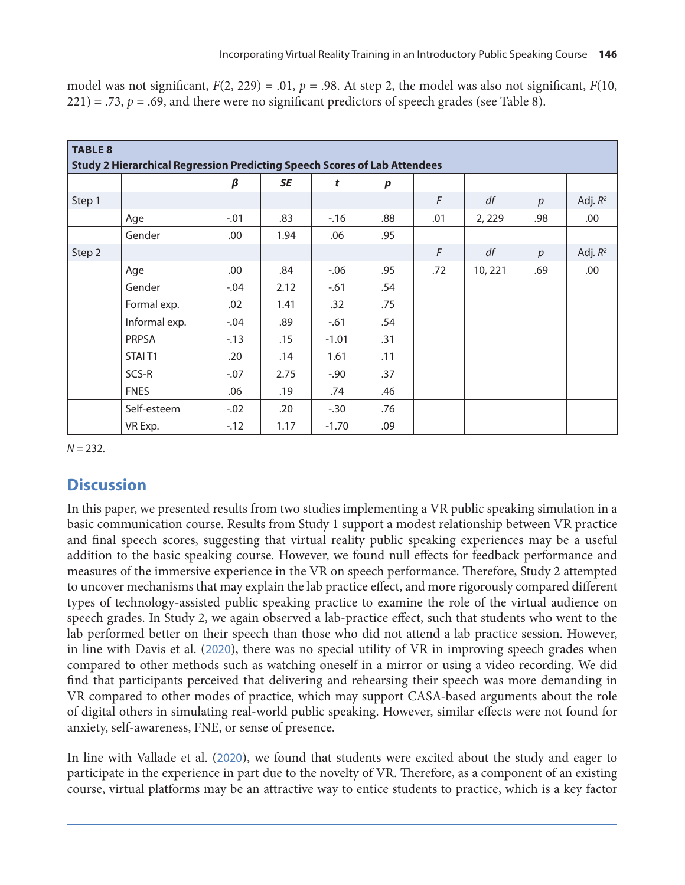| <b>TABLE 8</b> |                                                                                  |        |      |         |                  |     |         |     |            |  |  |  |  |  |
|----------------|----------------------------------------------------------------------------------|--------|------|---------|------------------|-----|---------|-----|------------|--|--|--|--|--|
|                | <b>Study 2 Hierarchical Regression Predicting Speech Scores of Lab Attendees</b> |        |      |         |                  |     |         |     |            |  |  |  |  |  |
|                |                                                                                  |        |      |         |                  |     |         |     |            |  |  |  |  |  |
|                |                                                                                  | β      | SE   | t       | $\boldsymbol{p}$ |     |         |     |            |  |  |  |  |  |
| Step 1         |                                                                                  |        |      |         |                  | F   | df      | p   | Adj. $R^2$ |  |  |  |  |  |
|                | Age                                                                              | $-.01$ | .83  | $-16$   | .88              | .01 | 2, 229  | .98 | .00        |  |  |  |  |  |
|                | Gender                                                                           | .00    | 1.94 | .06     | .95              |     |         |     |            |  |  |  |  |  |
| Step 2         |                                                                                  |        |      |         |                  | F   | df      | p   | Adj. $R^2$ |  |  |  |  |  |
|                | Age                                                                              | .00    | .84  | $-0.06$ | .95              | .72 | 10, 221 | .69 | .00        |  |  |  |  |  |
|                | Gender                                                                           | $-.04$ | 2.12 | $-61$   | .54              |     |         |     |            |  |  |  |  |  |
|                | Formal exp.                                                                      | .02    | 1.41 | .32     | .75              |     |         |     |            |  |  |  |  |  |
|                | Informal exp.                                                                    | $-.04$ | .89  | $-.61$  | .54              |     |         |     |            |  |  |  |  |  |
|                | PRPSA                                                                            | $-13$  | .15  | $-1.01$ | .31              |     |         |     |            |  |  |  |  |  |
|                | STAIT <sub>1</sub>                                                               | .20    | .14  | 1.61    | .11              |     |         |     |            |  |  |  |  |  |
|                | SCS-R                                                                            | $-.07$ | 2.75 | $-.90$  | .37              |     |         |     |            |  |  |  |  |  |
|                | <b>FNES</b>                                                                      | .06    | .19  | .74     | .46              |     |         |     |            |  |  |  |  |  |
|                | Self-esteem                                                                      | $-.02$ | .20  | $-.30$  | .76              |     |         |     |            |  |  |  |  |  |
|                | VR Exp.                                                                          | $-12$  | 1.17 | $-1.70$ | .09              |     |         |     |            |  |  |  |  |  |

model was not significant,  $F(2, 229) = .01$ ,  $p = .98$ . At step 2, the model was also not significant,  $F(10, 100)$  $221$ ) = .73,  $p = .69$ , and there were no significant predictors of speech grades (see Table 8).

 $N = 232$ .

### **Discussion**

In this paper, we presented results from two studies implementing a VR public speaking simulation in a basic communication course. Results from Study 1 support a modest relationship between VR practice and final speech scores, suggesting that virtual reality public speaking experiences may be a useful addition to the basic speaking course. However, we found null effects for feedback performance and measures of the immersive experience in the VR on speech performance. Therefore, Study 2 attempted to uncover mechanisms that may explain the lab practice effect, and more rigorously compared different types of technology-assisted public speaking practice to examine the role of the virtual audience on speech grades. In Study 2, we again observed a lab-practice effect, such that students who went to the lab performed better on their speech than those who did not attend a lab practice session. However, in line with Davis et al. ([2020](#page-16-0)), there was no special utility of VR in improving speech grades when compared to other methods such as watching oneself in a mirror or using a video recording. We did find that participants perceived that delivering and rehearsing their speech was more demanding in VR compared to other modes of practice, which may support CASA-based arguments about the role of digital others in simulating real-world public speaking. However, similar effects were not found for anxiety, self-awareness, FNE, or sense of presence.

In line with Vallade et al. ([2020](#page-18-0)), we found that students were excited about the study and eager to participate in the experience in part due to the novelty of VR. Therefore, as a component of an existing course, virtual platforms may be an attractive way to entice students to practice, which is a key factor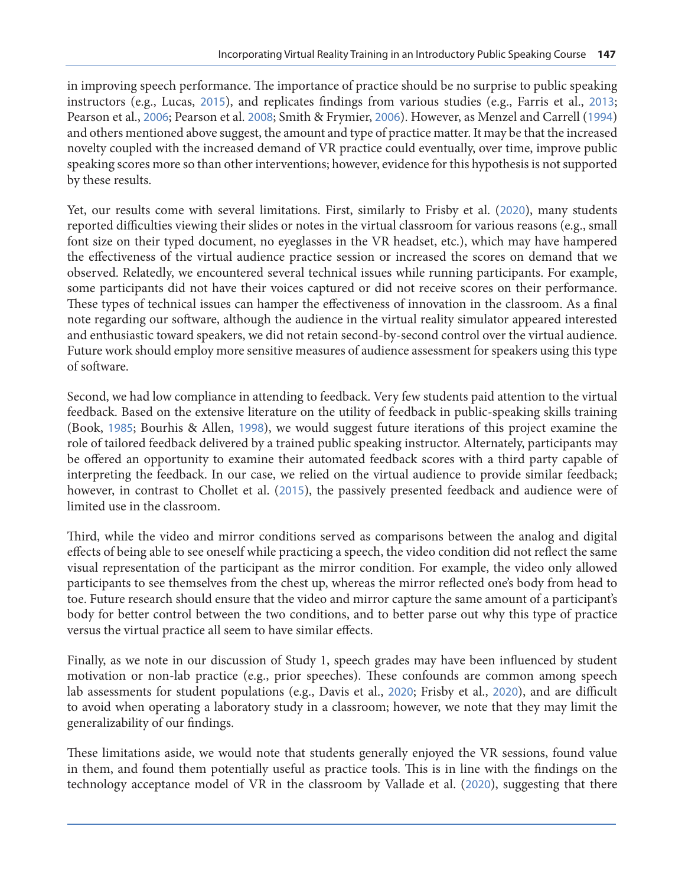in improving speech performance. The importance of practice should be no surprise to public speaking instructors (e.g., Lucas, [2015](#page-17-0)), and replicates findings from various studies (e.g., Farris et al., [2013](#page-16-0); Pearson et al., [2006](#page-17-0); Pearson et al. [2008](#page-17-0); Smith & Frymier, [2006](#page-18-0)). However, as Menzel and Carrell ([1994](#page-17-0)) and others mentioned above suggest, the amount and type of practice matter. It may be that the increased novelty coupled with the increased demand of VR practice could eventually, over time, improve public speaking scores more so than other interventions; however, evidence for this hypothesis is not supported by these results.

Yet, our results come with several limitations. First, similarly to Frisby et al. ([2020](#page-16-0)), many students reported difficulties viewing their slides or notes in the virtual classroom for various reasons (e.g., small font size on their typed document, no eyeglasses in the VR headset, etc.), which may have hampered the effectiveness of the virtual audience practice session or increased the scores on demand that we observed. Relatedly, we encountered several technical issues while running participants. For example, some participants did not have their voices captured or did not receive scores on their performance. These types of technical issues can hamper the effectiveness of innovation in the classroom. As a final note regarding our software, although the audience in the virtual reality simulator appeared interested and enthusiastic toward speakers, we did not retain second-by-second control over the virtual audience. Future work should employ more sensitive measures of audience assessment for speakers using this type of software.

Second, we had low compliance in attending to feedback. Very few students paid attention to the virtual feedback. Based on the extensive literature on the utility of feedback in public-speaking skills training (Book, [1985](#page-15-0); Bourhis & Allen, [1998](#page-15-0)), we would suggest future iterations of this project examine the role of tailored feedback delivered by a trained public speaking instructor. Alternately, participants may be offered an opportunity to examine their automated feedback scores with a third party capable of interpreting the feedback. In our case, we relied on the virtual audience to provide similar feedback; however, in contrast to Chollet et al. ([2015](#page-16-0)), the passively presented feedback and audience were of limited use in the classroom.

Third, while the video and mirror conditions served as comparisons between the analog and digital effects of being able to see oneself while practicing a speech, the video condition did not reflect the same visual representation of the participant as the mirror condition. For example, the video only allowed participants to see themselves from the chest up, whereas the mirror reflected one's body from head to toe. Future research should ensure that the video and mirror capture the same amount of a participant's body for better control between the two conditions, and to better parse out why this type of practice versus the virtual practice all seem to have similar effects.

Finally, as we note in our discussion of Study 1, speech grades may have been influenced by student motivation or non-lab practice (e.g., prior speeches). These confounds are common among speech lab assessments for student populations (e.g., Davis et al., [2020](#page-16-0); Frisby et al., [2020](#page-16-0)), and are difficult to avoid when operating a laboratory study in a classroom; however, we note that they may limit the generalizability of our findings.

These limitations aside, we would note that students generally enjoyed the VR sessions, found value in them, and found them potentially useful as practice tools. This is in line with the findings on the technology acceptance model of VR in the classroom by Vallade et al. ([2020](#page-18-0)), suggesting that there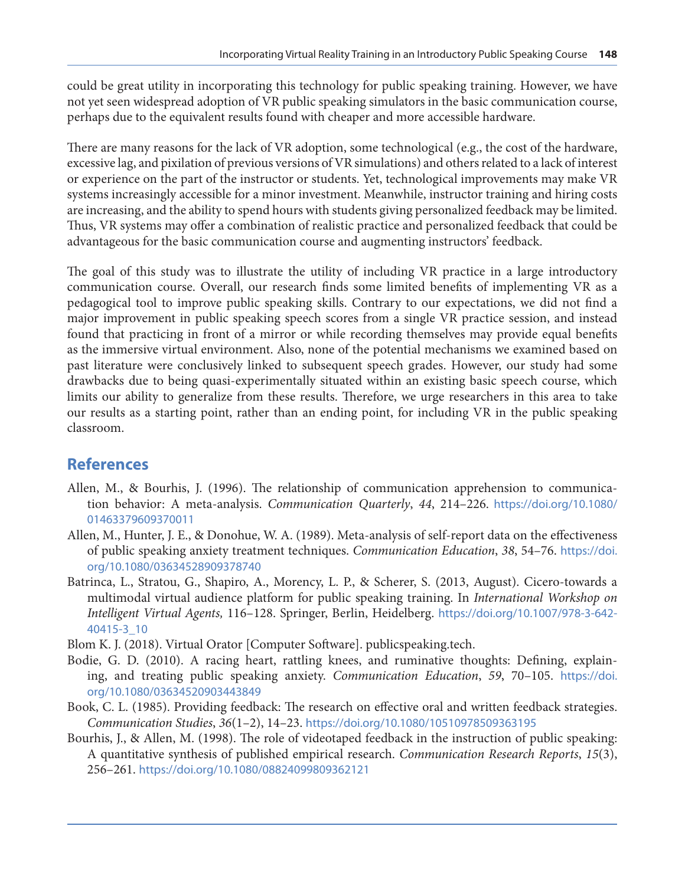<span id="page-15-0"></span>could be great utility in incorporating this technology for public speaking training. However, we have not yet seen widespread adoption of VR public speaking simulators in the basic communication course, perhaps due to the equivalent results found with cheaper and more accessible hardware.

There are many reasons for the lack of VR adoption, some technological (e.g., the cost of the hardware, excessive lag, and pixilation of previous versions of VR simulations) and others related to a lack of interest or experience on the part of the instructor or students. Yet, technological improvements may make VR systems increasingly accessible for a minor investment. Meanwhile, instructor training and hiring costs are increasing, and the ability to spend hours with students giving personalized feedback may be limited. Thus, VR systems may offer a combination of realistic practice and personalized feedback that could be advantageous for the basic communication course and augmenting instructors' feedback.

The goal of this study was to illustrate the utility of including VR practice in a large introductory communication course. Overall, our research finds some limited benefits of implementing VR as a pedagogical tool to improve public speaking skills. Contrary to our expectations, we did not find a major improvement in public speaking speech scores from a single VR practice session, and instead found that practicing in front of a mirror or while recording themselves may provide equal benefits as the immersive virtual environment. Also, none of the potential mechanisms we examined based on past literature were conclusively linked to subsequent speech grades. However, our study had some drawbacks due to being quasi-experimentally situated within an existing basic speech course, which limits our ability to generalize from these results. Therefore, we urge researchers in this area to take our results as a starting point, rather than an ending point, for including VR in the public speaking classroom.

## **References**

- Allen, M., & Bourhis, J. (1996). The relationship of communication apprehension to communication behavior: A meta-analysis. *Communication Quarterly*, *44*, 214–226. [https://doi.org/10.1080/](https://doi.org/10.1080/01463379609370011) [01463379609370011](https://doi.org/10.1080/01463379609370011)
- Allen, M., Hunter, J. E., & Donohue, W. A. (1989). Meta-analysis of self-report data on the effectiveness of public speaking anxiety treatment techniques. *Communication Education*, *38*, 54–76. [https://doi.](https://doi.org/10.1080/03634528909378740) [org/10.1080/03634528909378740](https://doi.org/10.1080/03634528909378740)
- Batrinca, L., Stratou, G., Shapiro, A., Morency, L. P., & Scherer, S. (2013, August). Cicero-towards a multimodal virtual audience platform for public speaking training. In *International Workshop on Intelligent Virtual Agents,* 116–128. Springer, Berlin, Heidelberg. [https://doi.org/10.1007/978-3-642-](https://doi.org/10.1007/978-3-642-40415-3_10) [40415-3\\_10](https://doi.org/10.1007/978-3-642-40415-3_10)
- Blom K. J. (2018). Virtual Orator [Computer Software]. publicspeaking.tech.
- Bodie, G. D. (2010). A racing heart, rattling knees, and ruminative thoughts: Defining, explaining, and treating public speaking anxiety. *Communication Education*, *59*, 70–105. [https://doi.](https://doi.org/10.1080/03634520903443849) [org/10.1080/03634520903443849](https://doi.org/10.1080/03634520903443849)
- Book, C. L. (1985). Providing feedback: The research on effective oral and written feedback strategies. *Communication Studies*, *36*(1–2), 14–23. <https://doi.org/10.1080/10510978509363195>
- Bourhis, J., & Allen, M. (1998). The role of videotaped feedback in the instruction of public speaking: A quantitative synthesis of published empirical research. *Communication Research Reports*, *15*(3), 256–261. <https://doi.org/10.1080/08824099809362121>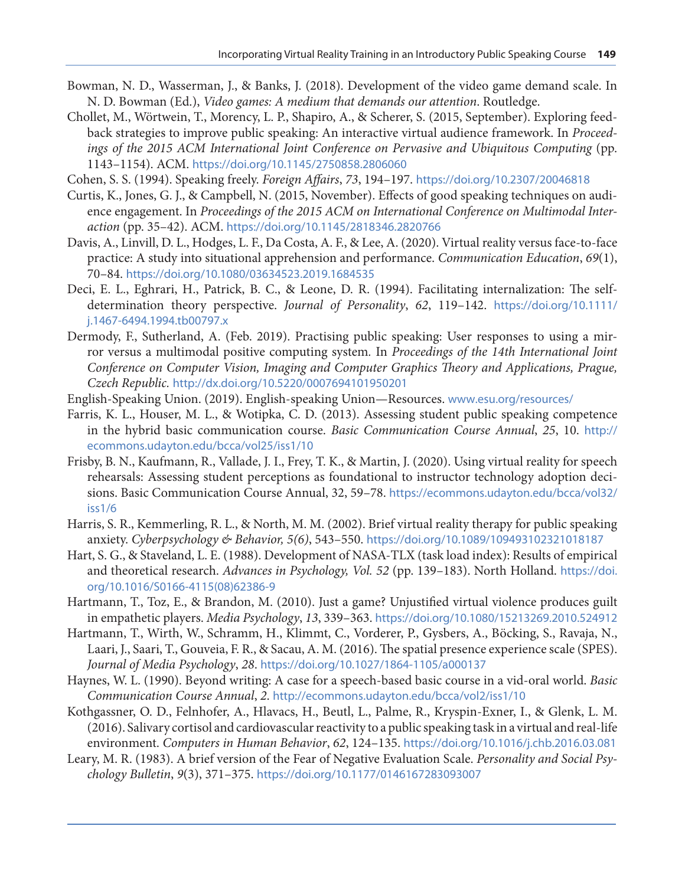- <span id="page-16-0"></span>Bowman, N. D., Wasserman, J., & Banks, J. (2018). Development of the video game demand scale. In N. D. Bowman (Ed.), *Video games: A medium that demands our attention*. Routledge.
- Chollet, M., Wörtwein, T., Morency, L. P., Shapiro, A., & Scherer, S. (2015, September). Exploring feedback strategies to improve public speaking: An interactive virtual audience framework. In *Proceedings of the 2015 ACM International Joint Conference on Pervasive and Ubiquitous Computing* (pp. 1143–1154). ACM. <https://doi.org/10.1145/2750858.2806060>
- Cohen, S. S. (1994). Speaking freely. *Foreign Affairs*, *73*, 194–197. <https://doi.org/10.2307/20046818>
- Curtis, K., Jones, G. J., & Campbell, N. (2015, November). Effects of good speaking techniques on audience engagement. In *Proceedings of the 2015 ACM on International Conference on Multimodal Interaction* (pp. 35–42). ACM. <https://doi.org/10.1145/2818346.2820766>
- Davis, A., Linvill, D. L., Hodges, L. F., Da Costa, A. F., & Lee, A. (2020). Virtual reality versus face-to-face practice: A study into situational apprehension and performance. *Communication Education*, *69*(1), 70–84. <https://doi.org/10.1080/03634523.2019.1684535>
- Deci, E. L., Eghrari, H., Patrick, B. C., & Leone, D. R. (1994). Facilitating internalization: The selfdetermination theory perspective. *Journal of Personality*, *62*, 119–142. [https://doi.org/10.1111/](https://doi.org/10.1111/j.1467-6494.1994.tb00797.x) [j.1467-6494.1994.tb00797.x](https://doi.org/10.1111/j.1467-6494.1994.tb00797.x)
- Dermody, F., Sutherland, A. (Feb. 2019). Practising public speaking: User responses to using a mirror versus a multimodal positive computing system*.* In *Proceedings of the 14th International Joint Conference on Computer Vision, Imaging and Computer Graphics Theory and Applications, Prague, Czech Republic.* <http://dx.doi.org/10.5220/0007694101950201>
- English-Speaking Union. (2019). English-speaking Union—Resources. [www.esu.org/resources/](http://www.esu.org/resources/)
- Farris, K. L., Houser, M. L., & Wotipka, C. D. (2013). Assessing student public speaking competence in the hybrid basic communication course. *Basic Communication Course Annual*, *25*, 10. [http://](http://ecommons.udayton.edu/bcca/vol25/iss1/10) [ecommons.udayton.edu/bcca/vol25/iss1/10](http://ecommons.udayton.edu/bcca/vol25/iss1/10)
- Frisby, B. N., Kaufmann, R., Vallade, J. I., Frey, T. K., & Martin, J. (2020). Using virtual reality for speech rehearsals: Assessing student perceptions as foundational to instructor technology adoption decisions. Basic Communication Course Annual, 32, 59–78. [https://ecommons.udayton.edu/bcca/vol32/](https://ecommons.udayton.edu/bcca/vol32/iss1/6) [iss1/6](https://ecommons.udayton.edu/bcca/vol32/iss1/6)
- Harris, S. R., Kemmerling, R. L., & North, M. M. (2002). Brief virtual reality therapy for public speaking anxiety. *Cyberpsychology & Behavior, 5(6)*, 543–550. <https://doi.org/10.1089/109493102321018187>
- Hart, S. G., & Staveland, L. E. (1988). Development of NASA-TLX (task load index): Results of empirical and theoretical research. *Advances in Psychology, Vol. 52* (pp. 139–183). North Holland. [https://doi.](https://doi.org/10.1016/S0166-4115(08)62386-9) [org/10.1016/S0166-4115\(08\)62386-9](https://doi.org/10.1016/S0166-4115(08)62386-9)
- Hartmann, T., Toz, E., & Brandon, M. (2010). Just a game? Unjustified virtual violence produces guilt in empathetic players. *Media Psychology*, *13*, 339–363. <https://doi.org/10.1080/15213269.2010.524912>
- Hartmann, T., Wirth, W., Schramm, H., Klimmt, C., Vorderer, P., Gysbers, A., Böcking, S., Ravaja, N., Laari, J., Saari, T., Gouveia, F. R., & Sacau, A. M. (2016). The spatial presence experience scale (SPES). *Journal of Media Psychology*, *28*. <https://doi.org/10.1027/1864-1105/a000137>
- Haynes, W. L. (1990). Beyond writing: A case for a speech-based basic course in a vid-oral world. *Basic Communication Course Annual*, *2*. <http://ecommons.udayton.edu/bcca/vol2/iss1/10>
- Kothgassner, O. D., Felnhofer, A., Hlavacs, H., Beutl, L., Palme, R., Kryspin-Exner, I., & Glenk, L. M. (2016). Salivary cortisol and cardiovascular reactivity to a public speaking task in a virtual and real-life environment. *Computers in Human Behavior*, *62*, 124–135. <https://doi.org/10.1016/j.chb.2016.03.081>
- Leary, M. R. (1983). A brief version of the Fear of Negative Evaluation Scale. *Personality and Social Psychology Bulletin*, *9*(3), 371–375. <https://doi.org/10.1177/0146167283093007>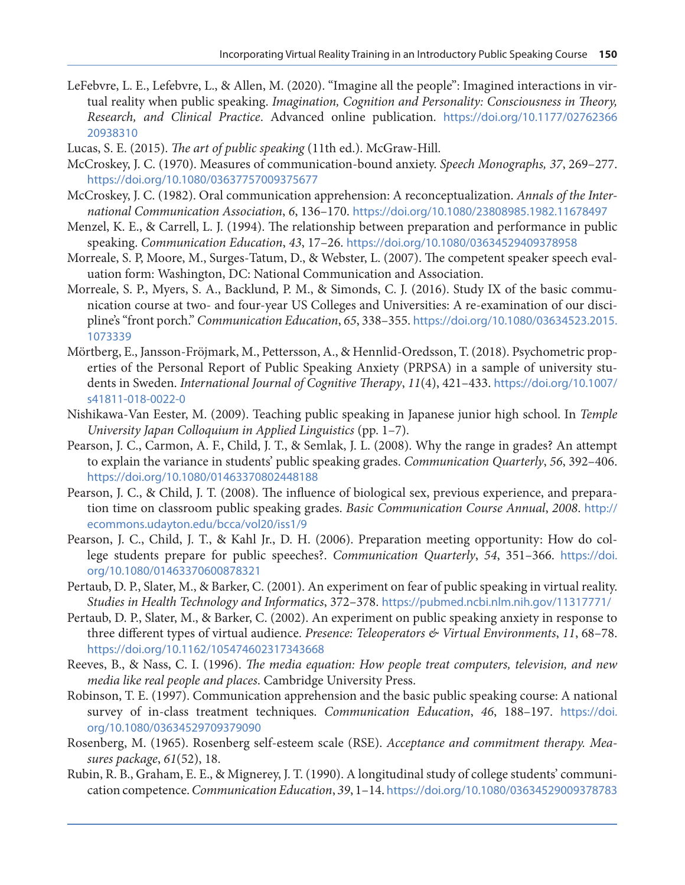- <span id="page-17-0"></span>LeFebvre, L. E., Lefebvre, L., & Allen, M. (2020). "Imagine all the people": Imagined interactions in virtual reality when public speaking. *Imagination, Cognition and Personality: Consciousness in Theory, Research, and Clinical Practice*. Advanced online publication. [https://doi.org/10.1177/02762366](https://doi.org/10.1177/0276236620938310 ) [20938310](https://doi.org/10.1177/0276236620938310 )
- Lucas, S. E. (2015). *The art of public speaking* (11th ed.). McGraw-Hill.
- McCroskey, J. C. (1970). Measures of communication-bound anxiety. *Speech Monographs, 37*, 269–277. <https://doi.org/10.1080/03637757009375677>
- McCroskey, J. C. (1982). Oral communication apprehension: A reconceptualization. *Annals of the International Communication Association*, *6*, 136–170. <https://doi.org/10.1080/23808985.1982.11678497>
- Menzel, K. E., & Carrell, L. J. (1994). The relationship between preparation and performance in public speaking. *Communication Education*, *43*, 17–26. <https://doi.org/10.1080/03634529409378958>
- Morreale, S. P, Moore, M., Surges-Tatum, D., & Webster, L. (2007). The competent speaker speech evaluation form: Washington, DC: National Communication and Association.
- Morreale, S. P., Myers, S. A., Backlund, P. M., & Simonds, C. J. (2016). Study IX of the basic communication course at two- and four-year US Colleges and Universities: A re-examination of our discipline's "front porch." *Communication Education*, *65*, 338–355. [https://doi.org/10.1080/03634523.2015.](https://doi.org/10.1080/03634523.2015.1073339) [1073339](https://doi.org/10.1080/03634523.2015.1073339)
- Mörtberg, E., Jansson-Fröjmark, M., Pettersson, A., & Hennlid-Oredsson, T. (2018). Psychometric properties of the Personal Report of Public Speaking Anxiety (PRPSA) in a sample of university students in Sweden. *International Journal of Cognitive Therapy*, *11*(4), 421–433. [https://doi.org/10.1007/](https://doi.org/10.1007/s41811-018-0022-0) [s41811-018-0022-0](https://doi.org/10.1007/s41811-018-0022-0)
- Nishikawa-Van Eester, M. (2009). Teaching public speaking in Japanese junior high school. In *Temple University Japan Colloquium in Applied Linguistics* (pp. 1–7).
- Pearson, J. C., Carmon, A. F., Child, J. T., & Semlak, J. L. (2008). Why the range in grades? An attempt to explain the variance in students' public speaking grades. *Communication Quarterly*, *56*, 392–406. <https://doi.org/10.1080/01463370802448188>
- Pearson, J. C., & Child, J. T. (2008). The influence of biological sex, previous experience, and preparation time on classroom public speaking grades. *Basic Communication Course Annual*, *2008*. [http://](http://ecommons.udayton.edu/bcca/vol20/iss1/9) [ecommons.udayton.edu/bcca/vol20/iss1/9](http://ecommons.udayton.edu/bcca/vol20/iss1/9)
- Pearson, J. C., Child, J. T., & Kahl Jr., D. H. (2006). Preparation meeting opportunity: How do college students prepare for public speeches?. *Communication Quarterly*, *54*, 351–366. [https://doi.](https://doi.org/10.1080/01463370600878321) [org/10.1080/01463370600878321](https://doi.org/10.1080/01463370600878321)
- Pertaub, D. P., Slater, M., & Barker, C. (2001). An experiment on fear of public speaking in virtual reality. *Studies in Health Technology and Informatics*, 372–378. <https://pubmed.ncbi.nlm.nih.gov/11317771/>
- Pertaub, D. P., Slater, M., & Barker, C. (2002). An experiment on public speaking anxiety in response to three different types of virtual audience. *Presence: Teleoperators & Virtual Environments*, *11*, 68–78. <https://doi.org/10.1162/105474602317343668>
- Reeves, B., & Nass, C. I. (1996). *The media equation: How people treat computers, television, and new media like real people and places*. Cambridge University Press.
- Robinson, T. E. (1997). Communication apprehension and the basic public speaking course: A national survey of in‐class treatment techniques. *Communication Education*, *46*, 188–197. [https://doi.](https://doi.org/10.1080/03634529709379090) [org/10.1080/03634529709379090](https://doi.org/10.1080/03634529709379090)
- Rosenberg, M. (1965). Rosenberg self-esteem scale (RSE). *Acceptance and commitment therapy. Measures package*, *61*(52), 18.
- Rubin, R. B., Graham, E. E., & Mignerey, J. T. (1990). A longitudinal study of college students' communication competence. *Communication Education*, *39*, 1–14. <https://doi.org/10.1080/03634529009378783>